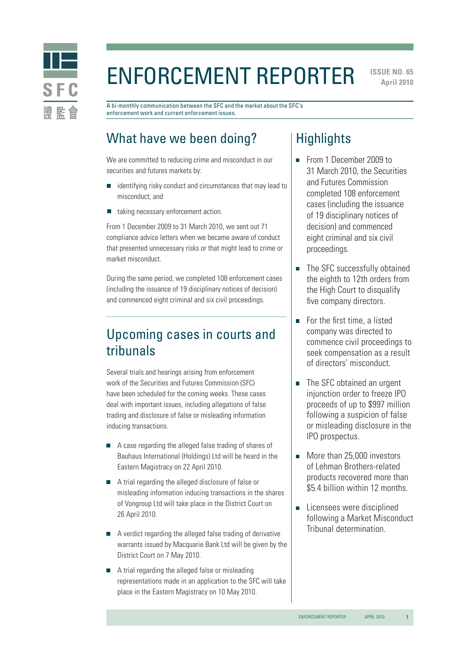

# Enforcement Reporter

**ISSUE NO. 65 April 2010** 

A bi-monthly communication between the SFC and the market about the SFC's enforcement work and current enforcement issues.

# What have we been doing?

We are committed to reducing crime and misconduct in our securities and futures markets by:

- identifying risky conduct and circumstances that may lead to misconduct; and
- taking necessary enforcement action.  $\Box$

From 1 December 2009 to 31 March 2010, we sent out 71 compliance advice letters when we became aware of conduct that presented unnecessary risks or that might lead to crime or market misconduct.

During the same period, we completed 108 enforcement cases (including the issuance of 19 disciplinary notices of decision) and commenced eight criminal and six civil proceedings.

# Upcoming cases in courts and tribunals

Several trials and hearings arising from enforcement work of the Securities and Futures Commission (SFC) have been scheduled for the coming weeks. These cases deal with important issues, including allegations of false trading and disclosure of false or misleading information inducing transactions.

- A case regarding the alleged false trading of shares of Bauhaus International (Holdings) Ltd will be heard in the Eastern Magistracy on 22 April 2010.
- A trial regarding the alleged disclosure of false or misleading information inducing transactions in the shares of Vongroup Ltd will take place in the District Court on 26 April 2010.
- A verdict regarding the alleged false trading of derivative warrants issued by Macquarie Bank Ltd will be given by the District Court on 7 May 2010.
- A trial regarding the alleged false or misleading representations made in an application to the SFC will take place in the Eastern Magistracy on 10 May 2010.

### **Highlights**

- From 1 December 2009 to 31 March 2010, the Securities and Futures Commission completed 108 enforcement cases (including the issuance of 19 disciplinary notices of decision) and commenced eight criminal and six civil proceedings.
- The SFC successfully obtained the eighth to 12th orders from the High Court to disqualify five company directors.
- For the first time, a listed company was directed to commence civil proceedings to seek compensation as a result of directors' misconduct.
- The SFC obtained an urgent injunction order to freeze IPO proceeds of up to \$997 million following a suspicion of false or misleading disclosure in the IPO prospectus.
- More than 25,000 investors of Lehman Brothers-related products recovered more than \$5.4 billion within 12 months.
- Licensees were disciplined following a Market Misconduct Tribunal determination.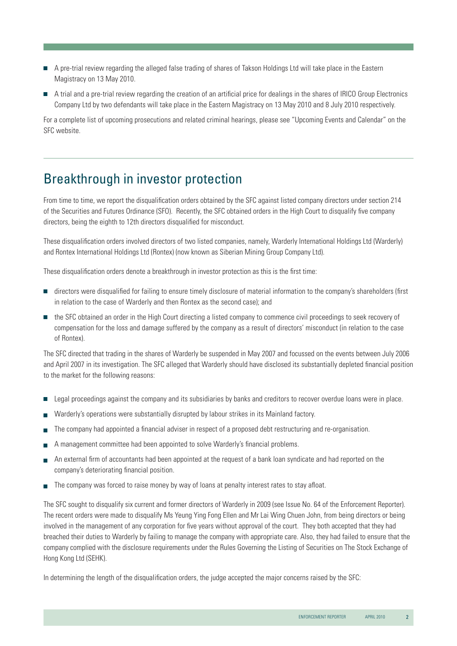- A pre-trial review regarding the alleged false trading of shares of Takson Holdings Ltd will take place in the Eastern Magistracy on 13 May 2010.
- A trial and a pre-trial review regarding the creation of an artificial price for dealings in the shares of IRICO Group Electronics Company Ltd by two defendants will take place in the Eastern Magistracy on 13 May 2010 and 8 July 2010 respectively.

For a complete list of upcoming prosecutions and related criminal hearings, please see "Upcoming Events and Calendar" on the SFC website.

### Breakthrough in investor protection

From time to time, we report the disqualification orders obtained by the SFC against listed company directors under section 214 of the Securities and Futures Ordinance (SFO). Recently, the SFC obtained orders in the High Court to disqualify five company directors, being the eighth to 12th directors disqualified for misconduct.

These disqualification orders involved directors of two listed companies, namely, Warderly International Holdings Ltd (Warderly) and Rontex International Holdings Ltd (Rontex) (now known as Siberian Mining Group Company Ltd).

These disqualification orders denote a breakthrough in investor protection as this is the first time:

- directors were disqualified for failing to ensure timely disclosure of material information to the company's shareholders (first in relation to the case of Warderly and then Rontex as the second case); and
- the SFC obtained an order in the High Court directing a listed company to commence civil proceedings to seek recovery of compensation for the loss and damage suffered by the company as a result of directors' misconduct (in relation to the case of Rontex).

The SFC directed that trading in the shares of Warderly be suspended in May 2007 and focussed on the events between July 2006 and April 2007 in its investigation. The SFC alleged that Warderly should have disclosed its substantially depleted financial position to the market for the following reasons:

- Legal proceedings against the company and its subsidiaries by banks and creditors to recover overdue loans were in place.  $\mathcal{C}$
- Warderly's operations were substantially disrupted by labour strikes in its Mainland factory.
- The company had appointed a financial adviser in respect of a proposed debt restructuring and re-organisation.
- A management committee had been appointed to solve Warderly's financial problems.
- An external firm of accountants had been appointed at the request of a bank loan syndicate and had reported on the company's deteriorating financial position.
- The company was forced to raise money by way of loans at penalty interest rates to stay afloat.

The SFC sought to disqualify six current and former directors of Warderly in 2009 (see Issue No. 64 of the Enforcement Reporter). The recent orders were made to disqualify Ms Yeung Ying Fong Ellen and Mr Lai Wing Chuen John, from being directors or being involved in the management of any corporation for five years without approval of the court. They both accepted that they had breached their duties to Warderly by failing to manage the company with appropriate care. Also, they had failed to ensure that the company complied with the disclosure requirements under the Rules Governing the Listing of Securities on The Stock Exchange of Hong Kong Ltd (SEHK).

In determining the length of the disqualification orders, the judge accepted the major concerns raised by the SFC: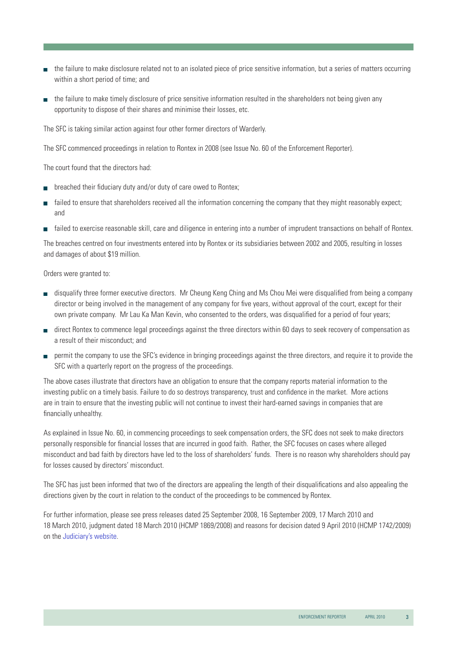- the failure to make disclosure related not to an isolated piece of price sensitive information, but a series of matters occurring within a short period of time; and
- $\blacksquare$  the failure to make timely disclosure of price sensitive information resulted in the shareholders not being given any opportunity to dispose of their shares and minimise their losses, etc.

The SFC is taking similar action against four other former directors of Warderly.

The SFC commenced proceedings in relation to Rontex in 2008 (see Issue No. 60 of the Enforcement Reporter).

The court found that the directors had:

- $\Box$  breached their fiduciary duty and/or duty of care owed to Rontex;
- failed to ensure that shareholders received all the information concerning the company that they might reasonably expect: and
- failed to exercise reasonable skill, care and diligence in entering into a number of imprudent transactions on behalf of Rontex.

The breaches centred on four investments entered into by Rontex or its subsidiaries between 2002 and 2005, resulting in losses and damages of about \$19 million.

Orders were granted to:

- disqualify three former executive directors. Mr Cheung Keng Ching and Ms Chou Mei were disqualified from being a company director or being involved in the management of any company for five years, without approval of the court, except for their own private company. Mr Lau Ka Man Kevin, who consented to the orders, was disqualified for a period of four years;
- direct Rontex to commence legal proceedings against the three directors within 60 days to seek recovery of compensation as a result of their misconduct; and
- **permit the company to use the SFC's evidence in bringing proceedings against the three directors, and require it to provide the** SFC with a quarterly report on the progress of the proceedings.

The above cases illustrate that directors have an obligation to ensure that the company reports material information to the investing public on a timely basis. Failure to do so destroys transparency, trust and confidence in the market. More actions are in train to ensure that the investing public will not continue to invest their hard-earned savings in companies that are financially unhealthy.

As explained in Issue No. 60, in commencing proceedings to seek compensation orders, the SFC does not seek to make directors personally responsible for financial losses that are incurred in good faith. Rather, the SFC focuses on cases where alleged misconduct and bad faith by directors have led to the loss of shareholders' funds. There is no reason why shareholders should pay for losses caused by directors' misconduct.

The SFC has just been informed that two of the directors are appealing the length of their disqualifications and also appealing the directions given by the court in relation to the conduct of the proceedings to be commenced by Rontex.

For further information, please see press releases dated 25 September 2008, 16 September 2009, 17 March 2010 and 18 March 2010, judgment dated 18 March 2010 (HCMP 1869/2008) and reasons for decision dated 9 April 2010 (HCMP 1742/2009) on the Judiciary's website.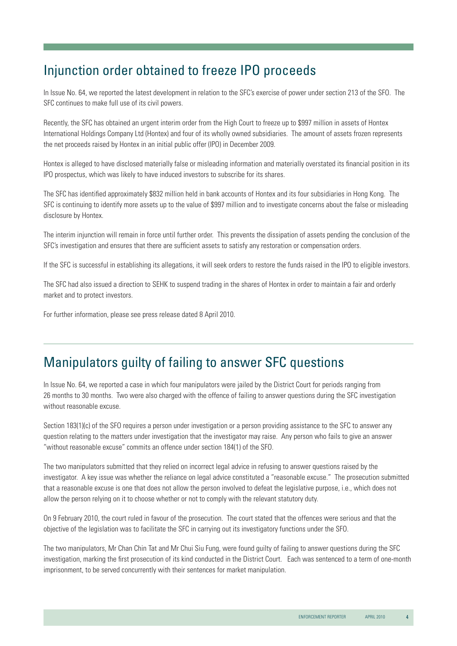# Injunction order obtained to freeze IPO proceeds

In Issue No. 64, we reported the latest development in relation to the SFC's exercise of power under section 213 of the SFO. The SFC continues to make full use of its civil powers.

Recently, the SFC has obtained an urgent interim order from the High Court to freeze up to \$997 million in assets of Hontex International Holdings Company Ltd (Hontex) and four of its wholly owned subsidiaries. The amount of assets frozen represents the net proceeds raised by Hontex in an initial public offer (IPO) in December 2009.

Hontex is alleged to have disclosed materially false or misleading information and materially overstated its financial position in its IPO prospectus, which was likely to have induced investors to subscribe for its shares.

The SFC has identified approximately \$832 million held in bank accounts of Hontex and its four subsidiaries in Hong Kong. The SFC is continuing to identify more assets up to the value of \$997 million and to investigate concerns about the false or misleading disclosure by Hontex.

The interim injunction will remain in force until further order. This prevents the dissipation of assets pending the conclusion of the SFC's investigation and ensures that there are sufficient assets to satisfy any restoration or compensation orders.

If the SFC is successful in establishing its allegations, it will seek orders to restore the funds raised in the IPO to eligible investors.

The SFC had also issued a direction to SEHK to suspend trading in the shares of Hontex in order to maintain a fair and orderly market and to protect investors.

For further information, please see press release dated 8 April 2010.

### Manipulators guilty of failing to answer SFC questions

In Issue No. 64, we reported a case in which four manipulators were jailed by the District Court for periods ranging from 26 months to 30 months. Two were also charged with the offence of failing to answer questions during the SFC investigation without reasonable excuse.

Section 183(1)(c) of the SFO requires a person under investigation or a person providing assistance to the SFC to answer any question relating to the matters under investigation that the investigator may raise. Any person who fails to give an answer "without reasonable excuse" commits an offence under section 184(1) of the SFO.

The two manipulators submitted that they relied on incorrect legal advice in refusing to answer questions raised by the investigator. A key issue was whether the reliance on legal advice constituted a "reasonable excuse." The prosecution submitted that a reasonable excuse is one that does not allow the person involved to defeat the legislative purpose, i.e., which does not allow the person relying on it to choose whether or not to comply with the relevant statutory duty.

On 9 February 2010, the court ruled in favour of the prosecution. The court stated that the offences were serious and that the objective of the legislation was to facilitate the SFC in carrying out its investigatory functions under the SFO.

The two manipulators, Mr Chan Chin Tat and Mr Chui Siu Fung, were found guilty of failing to answer questions during the SFC investigation, marking the first prosecution of its kind conducted in the District Court. Each was sentenced to a term of one-month imprisonment, to be served concurrently with their sentences for market manipulation.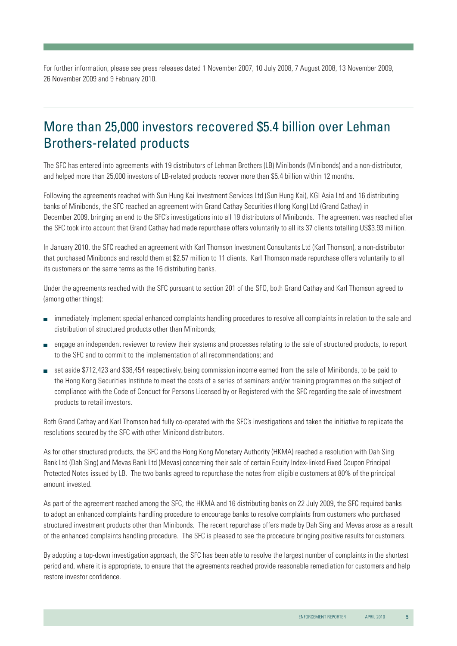For further information, please see press releases dated 1 November 2007, 10 July 2008, 7 August 2008, 13 November 2009, 26 November 2009 and 9 February 2010.

### More than 25,000 investors recovered \$5.4 billion over Lehman Brothers-related products

The SFC has entered into agreements with 19 distributors of Lehman Brothers (LB) Minibonds (Minibonds) and a non-distributor, and helped more than 25,000 investors of LB-related products recover more than \$5.4 billion within 12 months.

Following the agreements reached with Sun Hung Kai Investment Services Ltd (Sun Hung Kai), KGI Asia Ltd and 16 distributing banks of Minibonds, the SFC reached an agreement with Grand Cathay Securities (Hong Kong) Ltd (Grand Cathay) in December 2009, bringing an end to the SFC's investigations into all 19 distributors of Minibonds. The agreement was reached after the SFC took into account that Grand Cathay had made repurchase offers voluntarily to all its 37 clients totalling US\$3.93 million.

In January 2010, the SFC reached an agreement with Karl Thomson Investment Consultants Ltd (Karl Thomson), a non-distributor that purchased Minibonds and resold them at \$2.57 million to 11 clients. Karl Thomson made repurchase offers voluntarily to all its customers on the same terms as the 16 distributing banks.

Under the agreements reached with the SFC pursuant to section 201 of the SFO, both Grand Cathay and Karl Thomson agreed to (among other things):

- immediately implement special enhanced complaints handling procedures to resolve all complaints in relation to the sale and distribution of structured products other than Minibonds;
- engage an independent reviewer to review their systems and processes relating to the sale of structured products, to report to the SFC and to commit to the implementation of all recommendations; and
- set aside \$712,423 and \$38,454 respectively, being commission income earned from the sale of Minibonds, to be paid to the Hong Kong Securities Institute to meet the costs of a series of seminars and/or training programmes on the subject of compliance with the Code of Conduct for Persons Licensed by or Registered with the SFC regarding the sale of investment products to retail investors.

Both Grand Cathay and Karl Thomson had fully co-operated with the SFC's investigations and taken the initiative to replicate the resolutions secured by the SFC with other Minibond distributors.

As for other structured products, the SFC and the Hong Kong Monetary Authority (HKMA) reached a resolution with Dah Sing Bank Ltd (Dah Sing) and Mevas Bank Ltd (Mevas) concerning their sale of certain Equity Index-linked Fixed Coupon Principal Protected Notes issued by LB. The two banks agreed to repurchase the notes from eligible customers at 80% of the principal amount invested.

As part of the agreement reached among the SFC, the HKMA and 16 distributing banks on 22 July 2009, the SFC required banks to adopt an enhanced complaints handling procedure to encourage banks to resolve complaints from customers who purchased structured investment products other than Minibonds. The recent repurchase offers made by Dah Sing and Mevas arose as a result of the enhanced complaints handling procedure. The SFC is pleased to see the procedure bringing positive results for customers.

By adopting a top-down investigation approach, the SFC has been able to resolve the largest number of complaints in the shortest period and, where it is appropriate, to ensure that the agreements reached provide reasonable remediation for customers and help restore investor confidence.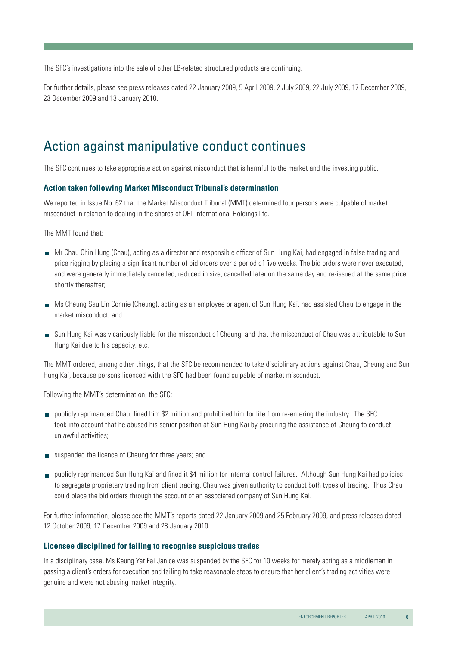The SFC's investigations into the sale of other LB-related structured products are continuing.

For further details, please see press releases dated 22 January 2009, 5 April 2009, 2 July 2009, 22 July 2009, 17 December 2009, 23 December 2009 and 13 January 2010.

### Action against manipulative conduct continues

The SFC continues to take appropriate action against misconduct that is harmful to the market and the investing public.

#### **Action taken following Market Misconduct Tribunal's determination**

We reported in Issue No. 62 that the Market Misconduct Tribunal (MMT) determined four persons were culpable of market misconduct in relation to dealing in the shares of QPL International Holdings Ltd.

The MMT found that:

- Mr Chau Chin Hung (Chau), acting as a director and responsible officer of Sun Hung Kai, had engaged in false trading and price rigging by placing a significant number of bid orders over a period of five weeks. The bid orders were never executed, and were generally immediately cancelled, reduced in size, cancelled later on the same day and re-issued at the same price shortly thereafter;
- Ms Cheung Sau Lin Connie (Cheung), acting as an employee or agent of Sun Hung Kai, had assisted Chau to engage in the market misconduct; and
- Sun Hung Kai was vicariously liable for the misconduct of Cheung, and that the misconduct of Chau was attributable to Sun Hung Kai due to his capacity, etc.

The MMT ordered, among other things, that the SFC be recommended to take disciplinary actions against Chau, Cheung and Sun Hung Kai, because persons licensed with the SFC had been found culpable of market misconduct.

Following the MMT's determination, the SFC:

- publicly reprimanded Chau, fined him \$2 million and prohibited him for life from re-entering the industry. The SFC took into account that he abused his senior position at Sun Hung Kai by procuring the assistance of Cheung to conduct unlawful activities;
- suspended the licence of Cheung for three years; and
- publicly reprimanded Sun Hung Kai and fined it \$4 million for internal control failures. Although Sun Hung Kai had policies to segregate proprietary trading from client trading, Chau was given authority to conduct both types of trading. Thus Chau could place the bid orders through the account of an associated company of Sun Hung Kai.

For further information, please see the MMT's reports dated 22 January 2009 and 25 February 2009, and press releases dated 12 October 2009, 17 December 2009 and 28 January 2010.

#### **Licensee disciplined for failing to recognise suspicious trades**

In a disciplinary case, Ms Keung Yat Fai Janice was suspended by the SFC for 10 weeks for merely acting as a middleman in passing a client's orders for execution and failing to take reasonable steps to ensure that her client's trading activities were genuine and were not abusing market integrity.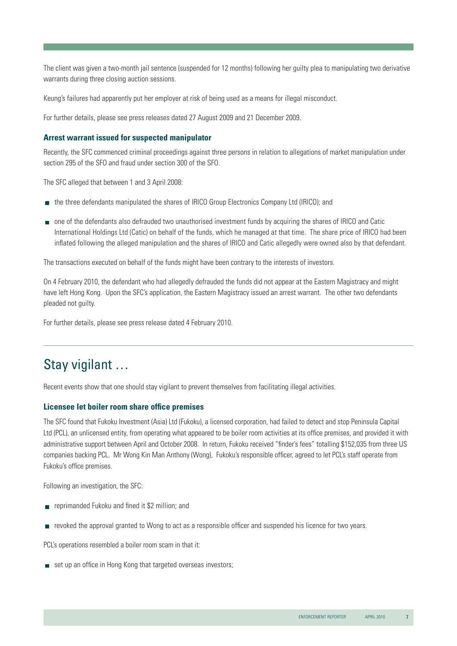The client was given a two-month jail sentence (suspended for 12 months) following her guilty plea to manipulating two derivative warrants during three closing auction sessions.

Keung's failures had apparently put her employer at risk of being used as a means for illegal misconduct.

For further details, please see press releases dated 27 August 2009 and 21 December 2009.

#### **Arrest warrant issued for suspected manipulator**

Recently, the SFC commenced criminal proceedings against three persons in relation to allegations of market manipulation under section 295 of the SFO and fraud under section 300 of the SFO.

The SFC alleged that between 1 and 3 April 2008:

- the three defendants manipulated the shares of IRICO Group Electronics Company Ltd (IRICO); and
- one of the defendants also defrauded two unauthorised investment funds by acquiring the shares of IRICO and Catic International Holdings Ltd (Catic) on behalf of the funds, which he managed at that time. The share price of IRICO had been inflated following the alleged manipulation and the shares of IRICO and Catic allegedly were owned also by that defendant.

The transactions executed on behalf of the funds might have been contrary to the interests of investors.

On 4 February 2010, the defendant who had allegedly defrauded the funds did not appear at the Eastern Magistracy and might have left Hong Kong. Upon the SFC's application, the Eastern Magistracy issued an arrest warrant. The other two defendants pleaded not guilty.

For further details, please see press release dated 4 February 2010.

# Stay vigilant …

Recent events show that one should stay vigilant to prevent themselves from facilitating illegal activities.

#### **Licensee let boiler room share office premises**

The SFC found that Fukoku Investment (Asia) Ltd (Fukoku), a licensed corporation, had failed to detect and stop Peninsula Capital Ltd (PCL), an unlicensed entity, from operating what appeared to be boiler room activities at its office premises, and provided it with administrative support between April and October 2008. In return, Fukoku received "finder's fees" totalling \$152,035 from three US companies backing PCL. Mr Wong Kin Man Anthony (Wong), Fukoku's responsible officer, agreed to let PCL's staff operate from Fukoku's office premises.

Following an investigation, the SFC:

- **F** reprimanded Fukoku and fined it \$2 million; and
- revoked the approval granted to Wong to act as a responsible officer and suspended his licence for two years.

PCL's operations resembled a boiler room scam in that it:

set up an office in Hong Kong that targeted overseas investors;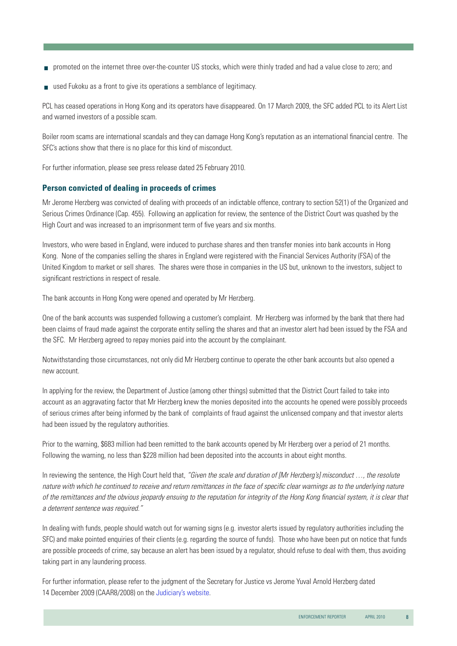- promoted on the internet three over-the-counter US stocks, which were thinly traded and had a value close to zero; and
- used Fukoku as a front to give its operations a semblance of legitimacy.

PCL has ceased operations in Hong Kong and its operators have disappeared. On 17 March 2009, the SFC added PCL to its Alert List and warned investors of a possible scam.

Boiler room scams are international scandals and they can damage Hong Kong's reputation as an international financial centre. The SFC's actions show that there is no place for this kind of misconduct.

For further information, please see press release dated 25 February 2010.

#### **Person convicted of dealing in proceeds of crimes**

Mr Jerome Herzberg was convicted of dealing with proceeds of an indictable offence, contrary to section 52(1) of the Organized and Serious Crimes Ordinance (Cap. 455). Following an application for review, the sentence of the District Court was quashed by the High Court and was increased to an imprisonment term of five years and six months.

Investors, who were based in England, were induced to purchase shares and then transfer monies into bank accounts in Hong Kong. None of the companies selling the shares in England were registered with the Financial Services Authority (FSA) of the United Kingdom to market or sell shares. The shares were those in companies in the US but, unknown to the investors, subject to significant restrictions in respect of resale.

The bank accounts in Hong Kong were opened and operated by Mr Herzberg.

One of the bank accounts was suspended following a customer's complaint. Mr Herzberg was informed by the bank that there had been claims of fraud made against the corporate entity selling the shares and that an investor alert had been issued by the FSA and the SFC. Mr Herzberg agreed to repay monies paid into the account by the complainant.

Notwithstanding those circumstances, not only did Mr Herzberg continue to operate the other bank accounts but also opened a new account.

In applying for the review, the Department of Justice (among other things) submitted that the District Court failed to take into account as an aggravating factor that Mr Herzberg knew the monies deposited into the accounts he opened were possibly proceeds of serious crimes after being informed by the bank of complaints of fraud against the unlicensed company and that investor alerts had been issued by the regulatory authorities.

Prior to the warning, \$683 million had been remitted to the bank accounts opened by Mr Herzberg over a period of 21 months. Following the warning, no less than \$228 million had been deposited into the accounts in about eight months.

In reviewing the sentence, the High Court held that, *"Given the scale and duration of [Mr Herzberg's] misconduct …, the resolute*  nature with which he continued to receive and return remittances in the face of specific clear warnings as to the underlying nature of the remittances and the obvious jeopardy ensuing to the reputation for integrity of the Hong Kong financial system, it is clear that *a deterrent sentence was required."*

In dealing with funds, people should watch out for warning signs (e.g. investor alerts issued by regulatory authorities including the SFC) and make pointed enquiries of their clients (e.g. regarding the source of funds). Those who have been put on notice that funds are possible proceeds of crime, say because an alert has been issued by a regulator, should refuse to deal with them, thus avoiding taking part in any laundering process.

For further information, please refer to the judgment of the Secretary for Justice vs Jerome Yuval Arnold Herzberg dated 14 December 2009 (CAAR8/2008) on the Judiciary's website.